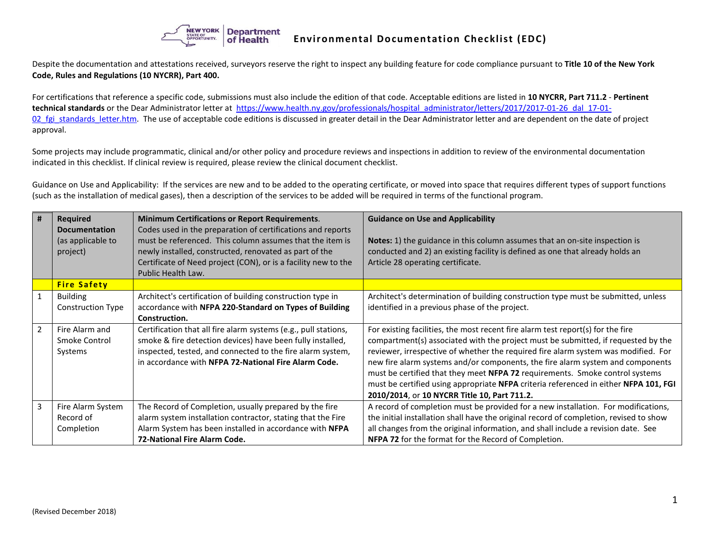

Despite the documentation and attestations received, surveyors reserve the right to inspect any building feature for code compliance pursuant to **Title 10 of the New York Code, Rules and Regulations (10 NYCRR), Part 400.**

For certifications that reference a specific code, submissions must also include the edition of that code. Acceptable editions are listed in **10 NYCRR, Part 711.2** - **Pertinent technical standards** or the Dear Administrator letter at [https://www.health.ny.gov/professionals/hospital\\_administrator/letters/2017/2017-01-26\\_dal\\_17-01-](https://www.health.ny.gov/professionals/hospital_administrator/letters/2017/2017-01-26_dal_17-01-02_fgi_standards_letter.htm) 02 fgi standards letter.htm. The use of acceptable code editions is discussed in greater detail in the Dear Administrator letter and are dependent on the date of project approval.

Some projects may include programmatic, clinical and/or other policy and procedure reviews and inspections in addition to review of the environmental documentation indicated in this checklist. If clinical review is required, please review the clinical document checklist.

Guidance on Use and Applicability: If the services are new and to be added to the operating certificate, or moved into space that requires different types of support functions (such as the installation of medical gases), then a description of the services to be added will be required in terms of the functional program.

| #              | <b>Required</b><br><b>Documentation</b><br>(as applicable to<br>project) | <b>Minimum Certifications or Report Requirements.</b><br>Codes used in the preparation of certifications and reports<br>must be referenced. This column assumes that the item is<br>newly installed, constructed, renovated as part of the<br>Certificate of Need project (CON), or is a facility new to the | <b>Guidance on Use and Applicability</b><br>Notes: 1) the guidance in this column assumes that an on-site inspection is<br>conducted and 2) an existing facility is defined as one that already holds an<br>Article 28 operating certificate. |
|----------------|--------------------------------------------------------------------------|--------------------------------------------------------------------------------------------------------------------------------------------------------------------------------------------------------------------------------------------------------------------------------------------------------------|-----------------------------------------------------------------------------------------------------------------------------------------------------------------------------------------------------------------------------------------------|
|                |                                                                          | Public Health Law.                                                                                                                                                                                                                                                                                           |                                                                                                                                                                                                                                               |
|                | <b>Fire Safety</b>                                                       |                                                                                                                                                                                                                                                                                                              |                                                                                                                                                                                                                                               |
|                | <b>Building</b>                                                          | Architect's certification of building construction type in                                                                                                                                                                                                                                                   | Architect's determination of building construction type must be submitted, unless                                                                                                                                                             |
|                | <b>Construction Type</b>                                                 | accordance with NFPA 220-Standard on Types of Building                                                                                                                                                                                                                                                       | identified in a previous phase of the project.                                                                                                                                                                                                |
|                |                                                                          | Construction.                                                                                                                                                                                                                                                                                                |                                                                                                                                                                                                                                               |
| $\overline{2}$ | Fire Alarm and                                                           | Certification that all fire alarm systems (e.g., pull stations,                                                                                                                                                                                                                                              | For existing facilities, the most recent fire alarm test report(s) for the fire                                                                                                                                                               |
|                | Smoke Control                                                            | smoke & fire detection devices) have been fully installed,                                                                                                                                                                                                                                                   | compartment(s) associated with the project must be submitted, if requested by the                                                                                                                                                             |
|                | Systems                                                                  | inspected, tested, and connected to the fire alarm system,                                                                                                                                                                                                                                                   | reviewer, irrespective of whether the required fire alarm system was modified. For                                                                                                                                                            |
|                |                                                                          | in accordance with NFPA 72-National Fire Alarm Code.                                                                                                                                                                                                                                                         | new fire alarm systems and/or components, the fire alarm system and components                                                                                                                                                                |
|                |                                                                          |                                                                                                                                                                                                                                                                                                              | must be certified that they meet NFPA 72 requirements. Smoke control systems                                                                                                                                                                  |
|                |                                                                          |                                                                                                                                                                                                                                                                                                              | must be certified using appropriate NFPA criteria referenced in either NFPA 101, FGI                                                                                                                                                          |
|                |                                                                          |                                                                                                                                                                                                                                                                                                              | 2010/2014, or 10 NYCRR Title 10, Part 711.2.                                                                                                                                                                                                  |
| 3              | Fire Alarm System                                                        | The Record of Completion, usually prepared by the fire                                                                                                                                                                                                                                                       | A record of completion must be provided for a new installation. For modifications,                                                                                                                                                            |
|                | Record of                                                                | alarm system installation contractor, stating that the Fire                                                                                                                                                                                                                                                  | the initial installation shall have the original record of completion, revised to show                                                                                                                                                        |
|                | Completion                                                               | Alarm System has been installed in accordance with NFPA                                                                                                                                                                                                                                                      | all changes from the original information, and shall include a revision date. See                                                                                                                                                             |
|                |                                                                          | <b>72-National Fire Alarm Code.</b>                                                                                                                                                                                                                                                                          | NFPA 72 for the format for the Record of Completion.                                                                                                                                                                                          |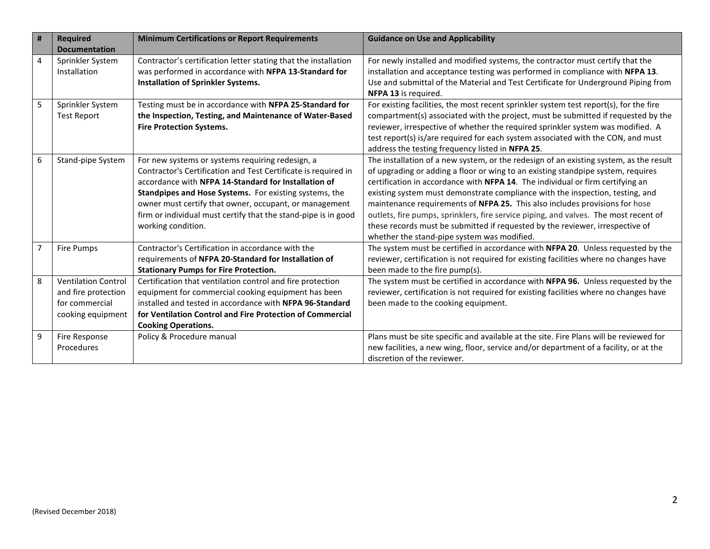| $\vert$ #      | <b>Required</b><br><b>Documentation</b>                                                  | <b>Minimum Certifications or Report Requirements</b>                                                                                                                                                                                                                                                                                                                                   | <b>Guidance on Use and Applicability</b>                                                                                                                                                                                                                                                                                                                                                                                                                                                                                                                                                                                                             |
|----------------|------------------------------------------------------------------------------------------|----------------------------------------------------------------------------------------------------------------------------------------------------------------------------------------------------------------------------------------------------------------------------------------------------------------------------------------------------------------------------------------|------------------------------------------------------------------------------------------------------------------------------------------------------------------------------------------------------------------------------------------------------------------------------------------------------------------------------------------------------------------------------------------------------------------------------------------------------------------------------------------------------------------------------------------------------------------------------------------------------------------------------------------------------|
| 4              | Sprinkler System<br>Installation                                                         | Contractor's certification letter stating that the installation<br>was performed in accordance with NFPA 13-Standard for<br>Installation of Sprinkler Systems.                                                                                                                                                                                                                         | For newly installed and modified systems, the contractor must certify that the<br>installation and acceptance testing was performed in compliance with NFPA 13.<br>Use and submittal of the Material and Test Certificate for Underground Piping from<br>NFPA 13 is required.                                                                                                                                                                                                                                                                                                                                                                        |
| 5              | Sprinkler System<br><b>Test Report</b>                                                   | Testing must be in accordance with NFPA 25-Standard for<br>the Inspection, Testing, and Maintenance of Water-Based<br><b>Fire Protection Systems.</b>                                                                                                                                                                                                                                  | For existing facilities, the most recent sprinkler system test report(s), for the fire<br>compartment(s) associated with the project, must be submitted if requested by the<br>reviewer, irrespective of whether the required sprinkler system was modified. A<br>test report(s) is/are required for each system associated with the CON, and must<br>address the testing frequency listed in NFPA 25.                                                                                                                                                                                                                                               |
| $6\,$          | Stand-pipe System                                                                        | For new systems or systems requiring redesign, a<br>Contractor's Certification and Test Certificate is required in<br>accordance with NFPA 14-Standard for Installation of<br>Standpipes and Hose Systems. For existing systems, the<br>owner must certify that owner, occupant, or management<br>firm or individual must certify that the stand-pipe is in good<br>working condition. | The installation of a new system, or the redesign of an existing system, as the result<br>of upgrading or adding a floor or wing to an existing standpipe system, requires<br>certification in accordance with NFPA 14. The individual or firm certifying an<br>existing system must demonstrate compliance with the inspection, testing, and<br>maintenance requirements of NFPA 25. This also includes provisions for hose<br>outlets, fire pumps, sprinklers, fire service piping, and valves. The most recent of<br>these records must be submitted if requested by the reviewer, irrespective of<br>whether the stand-pipe system was modified. |
| $\overline{7}$ | <b>Fire Pumps</b>                                                                        | Contractor's Certification in accordance with the<br>requirements of NFPA 20-Standard for Installation of<br><b>Stationary Pumps for Fire Protection.</b>                                                                                                                                                                                                                              | The system must be certified in accordance with NFPA 20. Unless requested by the<br>reviewer, certification is not required for existing facilities where no changes have<br>been made to the fire pump(s).                                                                                                                                                                                                                                                                                                                                                                                                                                          |
| 8              | <b>Ventilation Control</b><br>and fire protection<br>for commercial<br>cooking equipment | Certification that ventilation control and fire protection<br>equipment for commercial cooking equipment has been<br>installed and tested in accordance with NFPA 96-Standard<br>for Ventilation Control and Fire Protection of Commercial<br><b>Cooking Operations.</b>                                                                                                               | The system must be certified in accordance with NFPA 96. Unless requested by the<br>reviewer, certification is not required for existing facilities where no changes have<br>been made to the cooking equipment.                                                                                                                                                                                                                                                                                                                                                                                                                                     |
| 9              | Fire Response<br>Procedures                                                              | Policy & Procedure manual                                                                                                                                                                                                                                                                                                                                                              | Plans must be site specific and available at the site. Fire Plans will be reviewed for<br>new facilities, a new wing, floor, service and/or department of a facility, or at the<br>discretion of the reviewer.                                                                                                                                                                                                                                                                                                                                                                                                                                       |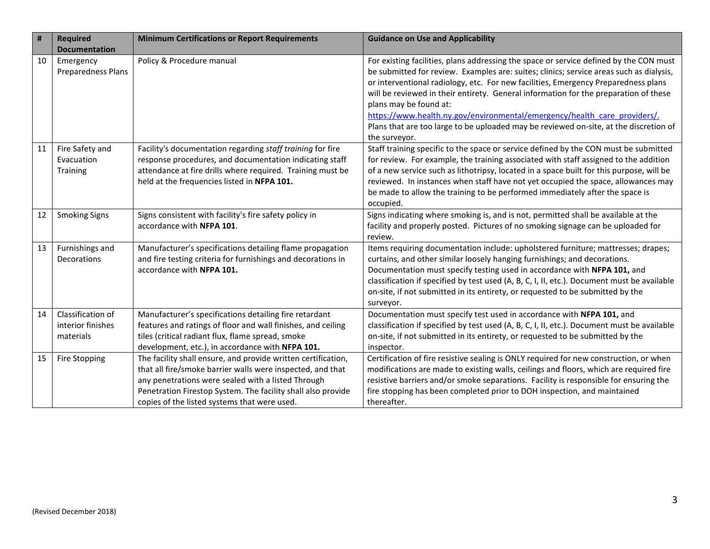| #  | <b>Required</b>                                     | <b>Minimum Certifications or Report Requirements</b>                                                                                                                                                                                                                                              | <b>Guidance on Use and Applicability</b>                                                                                                                                                                                                                                                                                                                                                                                                                                                                                                                                         |
|----|-----------------------------------------------------|---------------------------------------------------------------------------------------------------------------------------------------------------------------------------------------------------------------------------------------------------------------------------------------------------|----------------------------------------------------------------------------------------------------------------------------------------------------------------------------------------------------------------------------------------------------------------------------------------------------------------------------------------------------------------------------------------------------------------------------------------------------------------------------------------------------------------------------------------------------------------------------------|
|    | <b>Documentation</b>                                |                                                                                                                                                                                                                                                                                                   |                                                                                                                                                                                                                                                                                                                                                                                                                                                                                                                                                                                  |
| 10 | Emergency<br><b>Preparedness Plans</b>              | Policy & Procedure manual                                                                                                                                                                                                                                                                         | For existing facilities, plans addressing the space or service defined by the CON must<br>be submitted for review. Examples are: suites; clinics; service areas such as dialysis,<br>or interventional radiology, etc. For new facilities, Emergency Preparedness plans<br>will be reviewed in their entirety. General information for the preparation of these<br>plans may be found at:<br>https://www.health.ny.gov/environmental/emergency/health care providers/.<br>Plans that are too large to be uploaded may be reviewed on-site, at the discretion of<br>the surveyor. |
| 11 | Fire Safety and<br>Evacuation<br>Training           | Facility's documentation regarding staff training for fire<br>response procedures, and documentation indicating staff<br>attendance at fire drills where required. Training must be<br>held at the frequencies listed in NFPA 101.                                                                | Staff training specific to the space or service defined by the CON must be submitted<br>for review. For example, the training associated with staff assigned to the addition<br>of a new service such as lithotripsy, located in a space built for this purpose, will be<br>reviewed. In instances when staff have not yet occupied the space, allowances may<br>be made to allow the training to be performed immediately after the space is<br>occupied.                                                                                                                       |
| 12 | <b>Smoking Signs</b>                                | Signs consistent with facility's fire safety policy in<br>accordance with NFPA 101.                                                                                                                                                                                                               | Signs indicating where smoking is, and is not, permitted shall be available at the<br>facility and properly posted. Pictures of no smoking signage can be uploaded for<br>review.                                                                                                                                                                                                                                                                                                                                                                                                |
| 13 | Furnishings and<br><b>Decorations</b>               | Manufacturer's specifications detailing flame propagation<br>and fire testing criteria for furnishings and decorations in<br>accordance with NFPA 101.                                                                                                                                            | Items requiring documentation include: upholstered furniture; mattresses; drapes;<br>curtains, and other similar loosely hanging furnishings; and decorations.<br>Documentation must specify testing used in accordance with NFPA 101, and<br>classification if specified by test used (A, B, C, I, II, etc.). Document must be available<br>on-site, if not submitted in its entirety, or requested to be submitted by the<br>surveyor.                                                                                                                                         |
| 14 | Classification of<br>interior finishes<br>materials | Manufacturer's specifications detailing fire retardant<br>features and ratings of floor and wall finishes, and ceiling<br>tiles (critical radiant flux, flame spread, smoke<br>development, etc.), in accordance with NFPA 101.                                                                   | Documentation must specify test used in accordance with NFPA 101, and<br>classification if specified by test used (A, B, C, I, II, etc.). Document must be available<br>on-site, if not submitted in its entirety, or requested to be submitted by the<br>inspector.                                                                                                                                                                                                                                                                                                             |
| 15 | <b>Fire Stopping</b>                                | The facility shall ensure, and provide written certification,<br>that all fire/smoke barrier walls were inspected, and that<br>any penetrations were sealed with a listed Through<br>Penetration Firestop System. The facility shall also provide<br>copies of the listed systems that were used. | Certification of fire resistive sealing is ONLY required for new construction, or when<br>modifications are made to existing walls, ceilings and floors, which are required fire<br>resistive barriers and/or smoke separations. Facility is responsible for ensuring the<br>fire stopping has been completed prior to DOH inspection, and maintained<br>thereafter.                                                                                                                                                                                                             |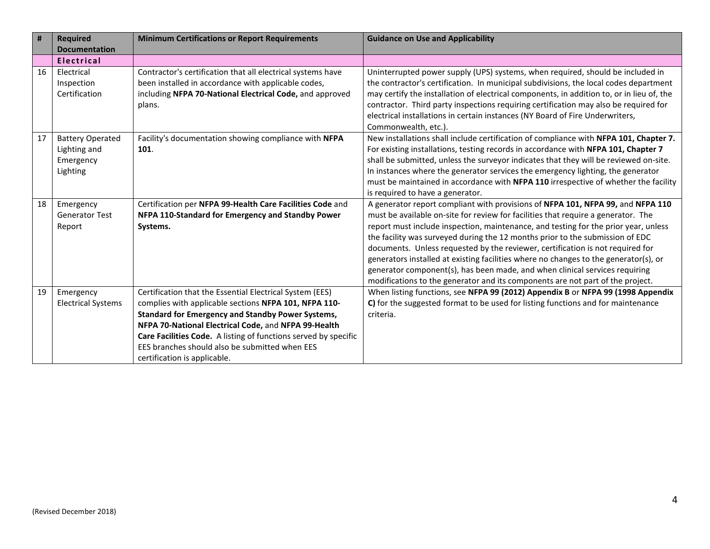| $\pmb{\sharp}$ | <b>Required</b>                                                  | <b>Minimum Certifications or Report Requirements</b>                                                                                                                                                                                                                                                                                                                                       | <b>Guidance on Use and Applicability</b>                                                                                                                                                                                                                                                                                                                                                                                                                                                                                                                                                                                                                                                |
|----------------|------------------------------------------------------------------|--------------------------------------------------------------------------------------------------------------------------------------------------------------------------------------------------------------------------------------------------------------------------------------------------------------------------------------------------------------------------------------------|-----------------------------------------------------------------------------------------------------------------------------------------------------------------------------------------------------------------------------------------------------------------------------------------------------------------------------------------------------------------------------------------------------------------------------------------------------------------------------------------------------------------------------------------------------------------------------------------------------------------------------------------------------------------------------------------|
|                | <b>Documentation</b>                                             |                                                                                                                                                                                                                                                                                                                                                                                            |                                                                                                                                                                                                                                                                                                                                                                                                                                                                                                                                                                                                                                                                                         |
|                | <b>Electrical</b>                                                |                                                                                                                                                                                                                                                                                                                                                                                            |                                                                                                                                                                                                                                                                                                                                                                                                                                                                                                                                                                                                                                                                                         |
| 16             | Electrical<br>Inspection<br>Certification                        | Contractor's certification that all electrical systems have<br>been installed in accordance with applicable codes,<br>including NFPA 70-National Electrical Code, and approved<br>plans.                                                                                                                                                                                                   | Uninterrupted power supply (UPS) systems, when required, should be included in<br>the contractor's certification. In municipal subdivisions, the local codes department<br>may certify the installation of electrical components, in addition to, or in lieu of, the<br>contractor. Third party inspections requiring certification may also be required for<br>electrical installations in certain instances (NY Board of Fire Underwriters,<br>Commonwealth, etc.).                                                                                                                                                                                                                   |
| 17             | <b>Battery Operated</b><br>Lighting and<br>Emergency<br>Lighting | Facility's documentation showing compliance with NFPA<br>101.                                                                                                                                                                                                                                                                                                                              | New installations shall include certification of compliance with NFPA 101, Chapter 7.<br>For existing installations, testing records in accordance with NFPA 101, Chapter 7<br>shall be submitted, unless the surveyor indicates that they will be reviewed on-site.<br>In instances where the generator services the emergency lighting, the generator<br>must be maintained in accordance with NFPA 110 irrespective of whether the facility<br>is required to have a generator.                                                                                                                                                                                                      |
| 18             | Emergency<br><b>Generator Test</b><br>Report                     | Certification per NFPA 99-Health Care Facilities Code and<br>NFPA 110-Standard for Emergency and Standby Power<br>Systems.                                                                                                                                                                                                                                                                 | A generator report compliant with provisions of NFPA 101, NFPA 99, and NFPA 110<br>must be available on-site for review for facilities that require a generator. The<br>report must include inspection, maintenance, and testing for the prior year, unless<br>the facility was surveyed during the 12 months prior to the submission of EDC<br>documents. Unless requested by the reviewer, certification is not required for<br>generators installed at existing facilities where no changes to the generator(s), or<br>generator component(s), has been made, and when clinical services requiring<br>modifications to the generator and its components are not part of the project. |
| 19             | Emergency<br><b>Electrical Systems</b>                           | Certification that the Essential Electrical System (EES)<br>complies with applicable sections NFPA 101, NFPA 110-<br><b>Standard for Emergency and Standby Power Systems,</b><br>NFPA 70-National Electrical Code, and NFPA 99-Health<br>Care Facilities Code. A listing of functions served by specific<br>EES branches should also be submitted when EES<br>certification is applicable. | When listing functions, see NFPA 99 (2012) Appendix B or NFPA 99 (1998 Appendix<br>C) for the suggested format to be used for listing functions and for maintenance<br>criteria.                                                                                                                                                                                                                                                                                                                                                                                                                                                                                                        |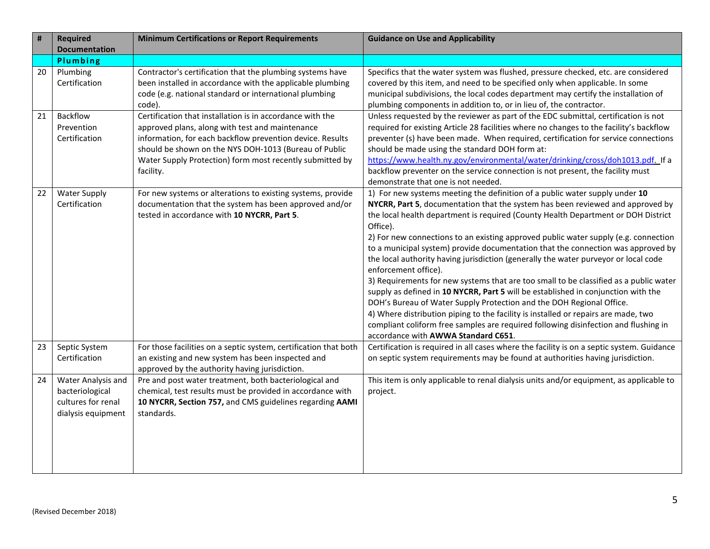| #  | <b>Required</b>                                                                   | <b>Minimum Certifications or Report Requirements</b>                                                                                                                                                                                                                                                        | <b>Guidance on Use and Applicability</b>                                                                                                                                                                                                                                                                                                                                                                                                                                                                                                                                                                                                                                                                                                                                                                                                                                                                                                                                                                                           |
|----|-----------------------------------------------------------------------------------|-------------------------------------------------------------------------------------------------------------------------------------------------------------------------------------------------------------------------------------------------------------------------------------------------------------|------------------------------------------------------------------------------------------------------------------------------------------------------------------------------------------------------------------------------------------------------------------------------------------------------------------------------------------------------------------------------------------------------------------------------------------------------------------------------------------------------------------------------------------------------------------------------------------------------------------------------------------------------------------------------------------------------------------------------------------------------------------------------------------------------------------------------------------------------------------------------------------------------------------------------------------------------------------------------------------------------------------------------------|
|    | <b>Documentation</b>                                                              |                                                                                                                                                                                                                                                                                                             |                                                                                                                                                                                                                                                                                                                                                                                                                                                                                                                                                                                                                                                                                                                                                                                                                                                                                                                                                                                                                                    |
|    | Plumbing                                                                          |                                                                                                                                                                                                                                                                                                             |                                                                                                                                                                                                                                                                                                                                                                                                                                                                                                                                                                                                                                                                                                                                                                                                                                                                                                                                                                                                                                    |
| 20 | Plumbing<br>Certification                                                         | Contractor's certification that the plumbing systems have<br>been installed in accordance with the applicable plumbing<br>code (e.g. national standard or international plumbing<br>code).                                                                                                                  | Specifics that the water system was flushed, pressure checked, etc. are considered<br>covered by this item, and need to be specified only when applicable. In some<br>municipal subdivisions, the local codes department may certify the installation of<br>plumbing components in addition to, or in lieu of, the contractor.                                                                                                                                                                                                                                                                                                                                                                                                                                                                                                                                                                                                                                                                                                     |
| 21 | Backflow<br>Prevention<br>Certification                                           | Certification that installation is in accordance with the<br>approved plans, along with test and maintenance<br>information, for each backflow prevention device. Results<br>should be shown on the NYS DOH-1013 (Bureau of Public<br>Water Supply Protection) form most recently submitted by<br>facility. | Unless requested by the reviewer as part of the EDC submittal, certification is not<br>required for existing Article 28 facilities where no changes to the facility's backflow<br>preventer (s) have been made. When required, certification for service connections<br>should be made using the standard DOH form at:<br>https://www.health.ny.gov/environmental/water/drinking/cross/doh1013.pdf. If a<br>backflow preventer on the service connection is not present, the facility must<br>demonstrate that one is not needed.                                                                                                                                                                                                                                                                                                                                                                                                                                                                                                  |
| 22 | <b>Water Supply</b><br>Certification                                              | For new systems or alterations to existing systems, provide<br>documentation that the system has been approved and/or<br>tested in accordance with 10 NYCRR, Part 5.                                                                                                                                        | 1) For new systems meeting the definition of a public water supply under 10<br>NYCRR, Part 5, documentation that the system has been reviewed and approved by<br>the local health department is required (County Health Department or DOH District<br>Office).<br>2) For new connections to an existing approved public water supply (e.g. connection<br>to a municipal system) provide documentation that the connection was approved by<br>the local authority having jurisdiction (generally the water purveyor or local code<br>enforcement office).<br>3) Requirements for new systems that are too small to be classified as a public water<br>supply as defined in 10 NYCRR, Part 5 will be established in conjunction with the<br>DOH's Bureau of Water Supply Protection and the DOH Regional Office.<br>4) Where distribution piping to the facility is installed or repairs are made, two<br>compliant coliform free samples are required following disinfection and flushing in<br>accordance with AWWA Standard C651. |
| 23 | Septic System<br>Certification                                                    | For those facilities on a septic system, certification that both<br>an existing and new system has been inspected and<br>approved by the authority having jurisdiction.                                                                                                                                     | Certification is required in all cases where the facility is on a septic system. Guidance<br>on septic system requirements may be found at authorities having jurisdiction.                                                                                                                                                                                                                                                                                                                                                                                                                                                                                                                                                                                                                                                                                                                                                                                                                                                        |
| 24 | Water Analysis and<br>bacteriological<br>cultures for renal<br>dialysis equipment | Pre and post water treatment, both bacteriological and<br>chemical, test results must be provided in accordance with<br>10 NYCRR, Section 757, and CMS guidelines regarding AAMI<br>standards.                                                                                                              | This item is only applicable to renal dialysis units and/or equipment, as applicable to<br>project.                                                                                                                                                                                                                                                                                                                                                                                                                                                                                                                                                                                                                                                                                                                                                                                                                                                                                                                                |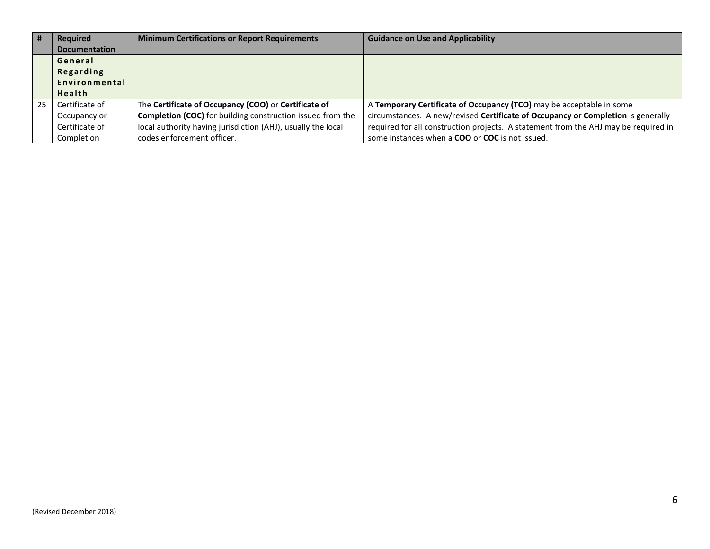| #  | <b>Required</b>      | <b>Minimum Certifications or Report Requirements</b>              | <b>Guidance on Use and Applicability</b>                                            |
|----|----------------------|-------------------------------------------------------------------|-------------------------------------------------------------------------------------|
|    | <b>Documentation</b> |                                                                   |                                                                                     |
|    | General              |                                                                   |                                                                                     |
|    | <b>Regarding</b>     |                                                                   |                                                                                     |
|    | Environmental        |                                                                   |                                                                                     |
|    | Health               |                                                                   |                                                                                     |
| 25 | Certificate of       | The Certificate of Occupancy (COO) or Certificate of              | A Temporary Certificate of Occupancy (TCO) may be acceptable in some                |
|    | Occupancy or         | <b>Completion (COC)</b> for building construction issued from the | circumstances. A new/revised Certificate of Occupancy or Completion is generally    |
|    | Certificate of       | local authority having jurisdiction (AHJ), usually the local      | required for all construction projects. A statement from the AHJ may be required in |
|    | Completion           | codes enforcement officer.                                        | some instances when a <b>COO</b> or <b>COC</b> is not issued.                       |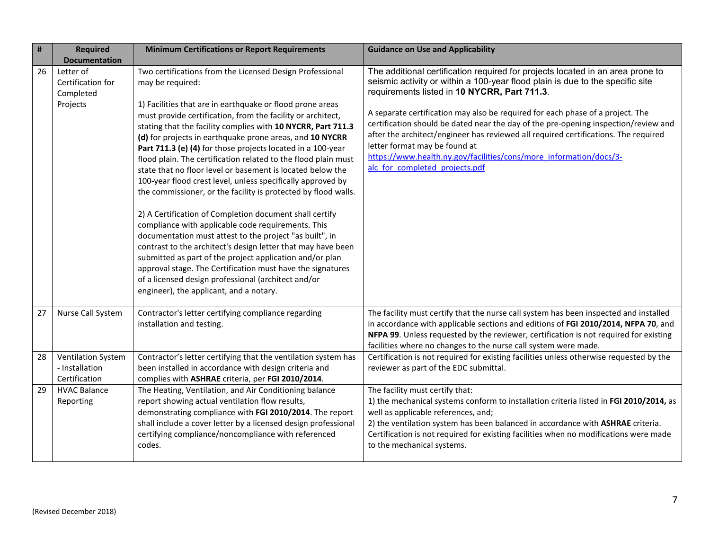| #  | <b>Required</b><br><b>Documentation</b>                      | <b>Minimum Certifications or Report Requirements</b>                                                                                                                                                                                                                                                                                                                                                                                                                                                                                                                                                                                                                                                                                                                                                                                                                                                                                                                                                                                                                                                                                         | <b>Guidance on Use and Applicability</b>                                                                                                                                                                                                                                                                                                                                                                                                                                                                                                                                                                                 |
|----|--------------------------------------------------------------|----------------------------------------------------------------------------------------------------------------------------------------------------------------------------------------------------------------------------------------------------------------------------------------------------------------------------------------------------------------------------------------------------------------------------------------------------------------------------------------------------------------------------------------------------------------------------------------------------------------------------------------------------------------------------------------------------------------------------------------------------------------------------------------------------------------------------------------------------------------------------------------------------------------------------------------------------------------------------------------------------------------------------------------------------------------------------------------------------------------------------------------------|--------------------------------------------------------------------------------------------------------------------------------------------------------------------------------------------------------------------------------------------------------------------------------------------------------------------------------------------------------------------------------------------------------------------------------------------------------------------------------------------------------------------------------------------------------------------------------------------------------------------------|
| 26 | Letter of<br>Certification for<br>Completed<br>Projects      | Two certifications from the Licensed Design Professional<br>may be required:<br>1) Facilities that are in earthquake or flood prone areas<br>must provide certification, from the facility or architect,<br>stating that the facility complies with 10 NYCRR, Part 711.3<br>(d) for projects in earthquake prone areas, and 10 NYCRR<br>Part 711.3 (e) (4) for those projects located in a 100-year<br>flood plain. The certification related to the flood plain must<br>state that no floor level or basement is located below the<br>100-year flood crest level, unless specifically approved by<br>the commissioner, or the facility is protected by flood walls.<br>2) A Certification of Completion document shall certify<br>compliance with applicable code requirements. This<br>documentation must attest to the project "as built", in<br>contrast to the architect's design letter that may have been<br>submitted as part of the project application and/or plan<br>approval stage. The Certification must have the signatures<br>of a licensed design professional (architect and/or<br>engineer), the applicant, and a notary. | The additional certification required for projects located in an area prone to<br>seismic activity or within a 100-year flood plain is due to the specific site<br>requirements listed in 10 NYCRR, Part 711.3.<br>A separate certification may also be required for each phase of a project. The<br>certification should be dated near the day of the pre-opening inspection/review and<br>after the architect/engineer has reviewed all required certifications. The required<br>letter format may be found at<br>https://www.health.ny.gov/facilities/cons/more_information/docs/3-<br>alc for completed projects.pdf |
| 27 | Nurse Call System                                            | Contractor's letter certifying compliance regarding<br>installation and testing.                                                                                                                                                                                                                                                                                                                                                                                                                                                                                                                                                                                                                                                                                                                                                                                                                                                                                                                                                                                                                                                             | The facility must certify that the nurse call system has been inspected and installed<br>in accordance with applicable sections and editions of FGI 2010/2014, NFPA 70, and<br>NFPA 99. Unless requested by the reviewer, certification is not required for existing<br>facilities where no changes to the nurse call system were made.                                                                                                                                                                                                                                                                                  |
| 28 | <b>Ventilation System</b><br>- Installation<br>Certification | Contractor's letter certifying that the ventilation system has<br>been installed in accordance with design criteria and<br>complies with ASHRAE criteria, per FGI 2010/2014.                                                                                                                                                                                                                                                                                                                                                                                                                                                                                                                                                                                                                                                                                                                                                                                                                                                                                                                                                                 | Certification is not required for existing facilities unless otherwise requested by the<br>reviewer as part of the EDC submittal.                                                                                                                                                                                                                                                                                                                                                                                                                                                                                        |
| 29 | <b>HVAC Balance</b><br>Reporting                             | The Heating, Ventilation, and Air Conditioning balance<br>report showing actual ventilation flow results,<br>demonstrating compliance with FGI 2010/2014. The report<br>shall include a cover letter by a licensed design professional<br>certifying compliance/noncompliance with referenced<br>codes.                                                                                                                                                                                                                                                                                                                                                                                                                                                                                                                                                                                                                                                                                                                                                                                                                                      | The facility must certify that:<br>1) the mechanical systems conform to installation criteria listed in FGI 2010/2014, as<br>well as applicable references, and;<br>2) the ventilation system has been balanced in accordance with ASHRAE criteria.<br>Certification is not required for existing facilities when no modifications were made<br>to the mechanical systems.                                                                                                                                                                                                                                               |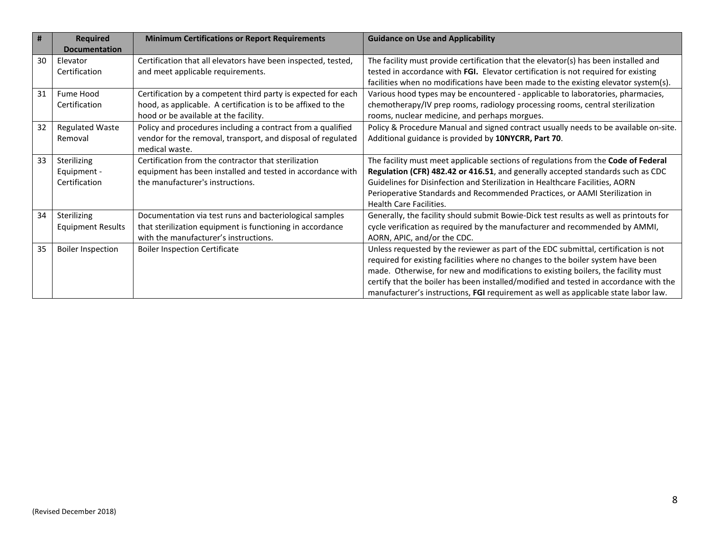| #  | <b>Required</b>          | <b>Minimum Certifications or Report Requirements</b>          | <b>Guidance on Use and Applicability</b>                                               |
|----|--------------------------|---------------------------------------------------------------|----------------------------------------------------------------------------------------|
|    | <b>Documentation</b>     |                                                               |                                                                                        |
| 30 | Elevator                 | Certification that all elevators have been inspected, tested, | The facility must provide certification that the elevator(s) has been installed and    |
|    | Certification            | and meet applicable requirements.                             | tested in accordance with FGI. Elevator certification is not required for existing     |
|    |                          |                                                               | facilities when no modifications have been made to the existing elevator system(s).    |
| 31 | Fume Hood                | Certification by a competent third party is expected for each | Various hood types may be encountered - applicable to laboratories, pharmacies,        |
|    | Certification            | hood, as applicable. A certification is to be affixed to the  | chemotherapy/IV prep rooms, radiology processing rooms, central sterilization          |
|    |                          | hood or be available at the facility.                         | rooms, nuclear medicine, and perhaps morgues.                                          |
| 32 | <b>Regulated Waste</b>   | Policy and procedures including a contract from a qualified   | Policy & Procedure Manual and signed contract usually needs to be available on-site.   |
|    | Removal                  | vendor for the removal, transport, and disposal of regulated  | Additional guidance is provided by 10NYCRR, Part 70.                                   |
|    |                          | medical waste.                                                |                                                                                        |
| 33 | Sterilizing              | Certification from the contractor that sterilization          | The facility must meet applicable sections of regulations from the Code of Federal     |
|    | Equipment -              | equipment has been installed and tested in accordance with    | Regulation (CFR) 482.42 or 416.51, and generally accepted standards such as CDC        |
|    | Certification            | the manufacturer's instructions.                              | Guidelines for Disinfection and Sterilization in Healthcare Facilities, AORN           |
|    |                          |                                                               | Perioperative Standards and Recommended Practices, or AAMI Sterilization in            |
|    |                          |                                                               | <b>Health Care Facilities.</b>                                                         |
| 34 | Sterilizing              | Documentation via test runs and bacteriological samples       | Generally, the facility should submit Bowie-Dick test results as well as printouts for |
|    | <b>Equipment Results</b> | that sterilization equipment is functioning in accordance     | cycle verification as required by the manufacturer and recommended by AMMI,            |
|    |                          | with the manufacturer's instructions.                         | AORN, APIC, and/or the CDC.                                                            |
| 35 | <b>Boiler Inspection</b> | <b>Boiler Inspection Certificate</b>                          | Unless requested by the reviewer as part of the EDC submittal, certification is not    |
|    |                          |                                                               | required for existing facilities where no changes to the boiler system have been       |
|    |                          |                                                               | made. Otherwise, for new and modifications to existing boilers, the facility must      |
|    |                          |                                                               | certify that the boiler has been installed/modified and tested in accordance with the  |
|    |                          |                                                               | manufacturer's instructions, FGI requirement as well as applicable state labor law.    |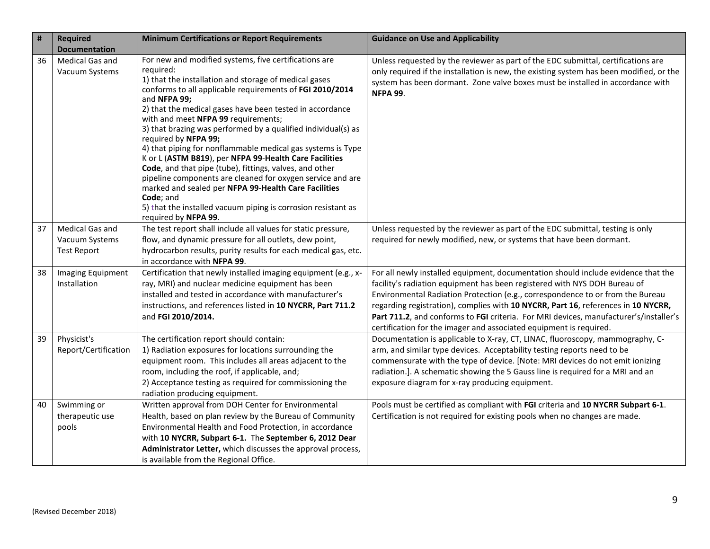| $\#$ | <b>Required</b>                   | <b>Minimum Certifications or Report Requirements</b>                                                                                                                                                                                                                                                                                                                                                                                                                                                                                                                                                                                                                                                                                                                                                                | <b>Guidance on Use and Applicability</b>                                                                                                                                                                                                                                          |
|------|-----------------------------------|---------------------------------------------------------------------------------------------------------------------------------------------------------------------------------------------------------------------------------------------------------------------------------------------------------------------------------------------------------------------------------------------------------------------------------------------------------------------------------------------------------------------------------------------------------------------------------------------------------------------------------------------------------------------------------------------------------------------------------------------------------------------------------------------------------------------|-----------------------------------------------------------------------------------------------------------------------------------------------------------------------------------------------------------------------------------------------------------------------------------|
|      | <b>Documentation</b>              |                                                                                                                                                                                                                                                                                                                                                                                                                                                                                                                                                                                                                                                                                                                                                                                                                     |                                                                                                                                                                                                                                                                                   |
| 36   | Medical Gas and<br>Vacuum Systems | For new and modified systems, five certifications are<br>required:<br>1) that the installation and storage of medical gases<br>conforms to all applicable requirements of FGI 2010/2014<br>and NFPA 99;<br>2) that the medical gases have been tested in accordance<br>with and meet NFPA 99 requirements;<br>3) that brazing was performed by a qualified individual(s) as<br>required by NFPA 99;<br>4) that piping for nonflammable medical gas systems is Type<br>K or L (ASTM B819), per NFPA 99-Health Care Facilities<br>Code, and that pipe (tube), fittings, valves, and other<br>pipeline components are cleaned for oxygen service and are<br>marked and sealed per NFPA 99-Health Care Facilities<br>Code; and<br>5) that the installed vacuum piping is corrosion resistant as<br>required by NFPA 99. | Unless requested by the reviewer as part of the EDC submittal, certifications are<br>only required if the installation is new, the existing system has been modified, or the<br>system has been dormant. Zone valve boxes must be installed in accordance with<br><b>NFPA 99.</b> |
| 37   | Medical Gas and                   | The test report shall include all values for static pressure,                                                                                                                                                                                                                                                                                                                                                                                                                                                                                                                                                                                                                                                                                                                                                       | Unless requested by the reviewer as part of the EDC submittal, testing is only                                                                                                                                                                                                    |
|      | Vacuum Systems                    | flow, and dynamic pressure for all outlets, dew point,                                                                                                                                                                                                                                                                                                                                                                                                                                                                                                                                                                                                                                                                                                                                                              | required for newly modified, new, or systems that have been dormant.                                                                                                                                                                                                              |
|      | <b>Test Report</b>                | hydrocarbon results, purity results for each medical gas, etc.<br>in accordance with NFPA 99.                                                                                                                                                                                                                                                                                                                                                                                                                                                                                                                                                                                                                                                                                                                       |                                                                                                                                                                                                                                                                                   |
| 38   | <b>Imaging Equipment</b>          | Certification that newly installed imaging equipment (e.g., x-                                                                                                                                                                                                                                                                                                                                                                                                                                                                                                                                                                                                                                                                                                                                                      | For all newly installed equipment, documentation should include evidence that the                                                                                                                                                                                                 |
|      | Installation                      | ray, MRI) and nuclear medicine equipment has been                                                                                                                                                                                                                                                                                                                                                                                                                                                                                                                                                                                                                                                                                                                                                                   | facility's radiation equipment has been registered with NYS DOH Bureau of                                                                                                                                                                                                         |
|      |                                   | installed and tested in accordance with manufacturer's                                                                                                                                                                                                                                                                                                                                                                                                                                                                                                                                                                                                                                                                                                                                                              | Environmental Radiation Protection (e.g., correspondence to or from the Bureau                                                                                                                                                                                                    |
|      |                                   | instructions, and references listed in 10 NYCRR, Part 711.2                                                                                                                                                                                                                                                                                                                                                                                                                                                                                                                                                                                                                                                                                                                                                         | regarding registration), complies with 10 NYCRR, Part 16, references in 10 NYCRR,                                                                                                                                                                                                 |
|      |                                   | and FGI 2010/2014.                                                                                                                                                                                                                                                                                                                                                                                                                                                                                                                                                                                                                                                                                                                                                                                                  | Part 711.2, and conforms to FGI criteria. For MRI devices, manufacturer's/installer's                                                                                                                                                                                             |
|      |                                   |                                                                                                                                                                                                                                                                                                                                                                                                                                                                                                                                                                                                                                                                                                                                                                                                                     | certification for the imager and associated equipment is required.                                                                                                                                                                                                                |
| 39   | Physicist's                       | The certification report should contain:                                                                                                                                                                                                                                                                                                                                                                                                                                                                                                                                                                                                                                                                                                                                                                            | Documentation is applicable to X-ray, CT, LINAC, fluoroscopy, mammography, C-                                                                                                                                                                                                     |
|      | Report/Certification              | 1) Radiation exposures for locations surrounding the                                                                                                                                                                                                                                                                                                                                                                                                                                                                                                                                                                                                                                                                                                                                                                | arm, and similar type devices. Acceptability testing reports need to be                                                                                                                                                                                                           |
|      |                                   | equipment room. This includes all areas adjacent to the                                                                                                                                                                                                                                                                                                                                                                                                                                                                                                                                                                                                                                                                                                                                                             | commensurate with the type of device. [Note: MRI devices do not emit ionizing                                                                                                                                                                                                     |
|      |                                   | room, including the roof, if applicable, and;                                                                                                                                                                                                                                                                                                                                                                                                                                                                                                                                                                                                                                                                                                                                                                       | radiation.]. A schematic showing the 5 Gauss line is required for a MRI and an                                                                                                                                                                                                    |
|      |                                   | 2) Acceptance testing as required for commissioning the                                                                                                                                                                                                                                                                                                                                                                                                                                                                                                                                                                                                                                                                                                                                                             | exposure diagram for x-ray producing equipment.                                                                                                                                                                                                                                   |
|      |                                   | radiation producing equipment.                                                                                                                                                                                                                                                                                                                                                                                                                                                                                                                                                                                                                                                                                                                                                                                      |                                                                                                                                                                                                                                                                                   |
| 40   | Swimming or                       | Written approval from DOH Center for Environmental                                                                                                                                                                                                                                                                                                                                                                                                                                                                                                                                                                                                                                                                                                                                                                  | Pools must be certified as compliant with FGI criteria and 10 NYCRR Subpart 6-1.                                                                                                                                                                                                  |
|      | therapeutic use                   | Health, based on plan review by the Bureau of Community                                                                                                                                                                                                                                                                                                                                                                                                                                                                                                                                                                                                                                                                                                                                                             | Certification is not required for existing pools when no changes are made.                                                                                                                                                                                                        |
|      | pools                             | Environmental Health and Food Protection, in accordance<br>with 10 NYCRR, Subpart 6-1. The September 6, 2012 Dear                                                                                                                                                                                                                                                                                                                                                                                                                                                                                                                                                                                                                                                                                                   |                                                                                                                                                                                                                                                                                   |
|      |                                   | Administrator Letter, which discusses the approval process,                                                                                                                                                                                                                                                                                                                                                                                                                                                                                                                                                                                                                                                                                                                                                         |                                                                                                                                                                                                                                                                                   |
|      |                                   | is available from the Regional Office.                                                                                                                                                                                                                                                                                                                                                                                                                                                                                                                                                                                                                                                                                                                                                                              |                                                                                                                                                                                                                                                                                   |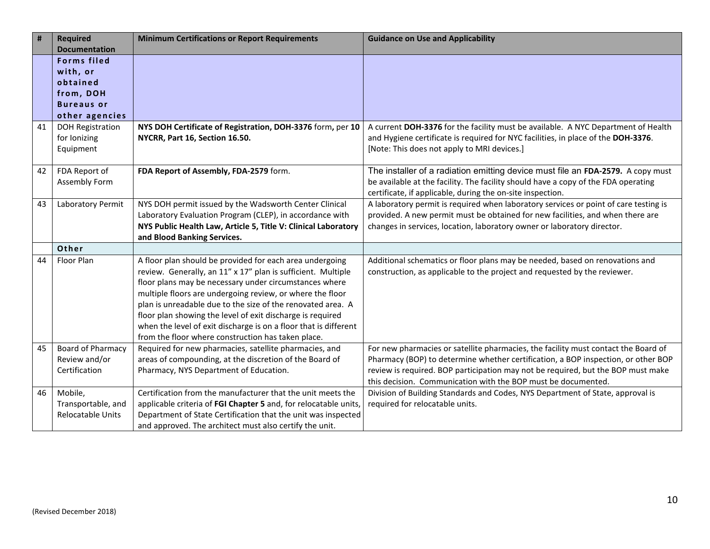| #  | <b>Required</b>          | <b>Minimum Certifications or Report Requirements</b>             | <b>Guidance on Use and Applicability</b>                                             |
|----|--------------------------|------------------------------------------------------------------|--------------------------------------------------------------------------------------|
|    | <b>Documentation</b>     |                                                                  |                                                                                      |
|    | <b>Forms filed</b>       |                                                                  |                                                                                      |
|    | with, or                 |                                                                  |                                                                                      |
|    | obtained                 |                                                                  |                                                                                      |
|    | from, DOH                |                                                                  |                                                                                      |
|    | <b>Bureaus or</b>        |                                                                  |                                                                                      |
|    | other agencies           |                                                                  |                                                                                      |
| 41 | <b>DOH Registration</b>  | NYS DOH Certificate of Registration, DOH-3376 form, per 10       | A current DOH-3376 for the facility must be available. A NYC Department of Health    |
|    | for Ionizing             | NYCRR, Part 16, Section 16.50.                                   | and Hygiene certificate is required for NYC facilities, in place of the DOH-3376.    |
|    | Equipment                |                                                                  | [Note: This does not apply to MRI devices.]                                          |
|    |                          |                                                                  |                                                                                      |
| 42 | FDA Report of            | FDA Report of Assembly, FDA-2579 form.                           | The installer of a radiation emitting device must file an FDA-2579. A copy must      |
|    | Assembly Form            |                                                                  | be available at the facility. The facility should have a copy of the FDA operating   |
|    |                          |                                                                  | certificate, if applicable, during the on-site inspection.                           |
| 43 | Laboratory Permit        | NYS DOH permit issued by the Wadsworth Center Clinical           | A laboratory permit is required when laboratory services or point of care testing is |
|    |                          | Laboratory Evaluation Program (CLEP), in accordance with         | provided. A new permit must be obtained for new facilities, and when there are       |
|    |                          | NYS Public Health Law, Article 5, Title V: Clinical Laboratory   | changes in services, location, laboratory owner or laboratory director.              |
|    |                          | and Blood Banking Services.                                      |                                                                                      |
|    | Other                    |                                                                  |                                                                                      |
| 44 | Floor Plan               | A floor plan should be provided for each area undergoing         | Additional schematics or floor plans may be needed, based on renovations and         |
|    |                          | review. Generally, an 11" x 17" plan is sufficient. Multiple     | construction, as applicable to the project and requested by the reviewer.            |
|    |                          | floor plans may be necessary under circumstances where           |                                                                                      |
|    |                          | multiple floors are undergoing review, or where the floor        |                                                                                      |
|    |                          | plan is unreadable due to the size of the renovated area. A      |                                                                                      |
|    |                          | floor plan showing the level of exit discharge is required       |                                                                                      |
|    |                          | when the level of exit discharge is on a floor that is different |                                                                                      |
|    |                          | from the floor where construction has taken place.               |                                                                                      |
| 45 | <b>Board of Pharmacy</b> | Required for new pharmacies, satellite pharmacies, and           | For new pharmacies or satellite pharmacies, the facility must contact the Board of   |
|    | Review and/or            | areas of compounding, at the discretion of the Board of          | Pharmacy (BOP) to determine whether certification, a BOP inspection, or other BOP    |
|    | Certification            | Pharmacy, NYS Department of Education.                           | review is required. BOP participation may not be required, but the BOP must make     |
|    |                          |                                                                  | this decision. Communication with the BOP must be documented.                        |
| 46 | Mobile,                  | Certification from the manufacturer that the unit meets the      | Division of Building Standards and Codes, NYS Department of State, approval is       |
|    | Transportable, and       | applicable criteria of FGI Chapter 5 and, for relocatable units, | required for relocatable units.                                                      |
|    | Relocatable Units        | Department of State Certification that the unit was inspected    |                                                                                      |
|    |                          | and approved. The architect must also certify the unit.          |                                                                                      |